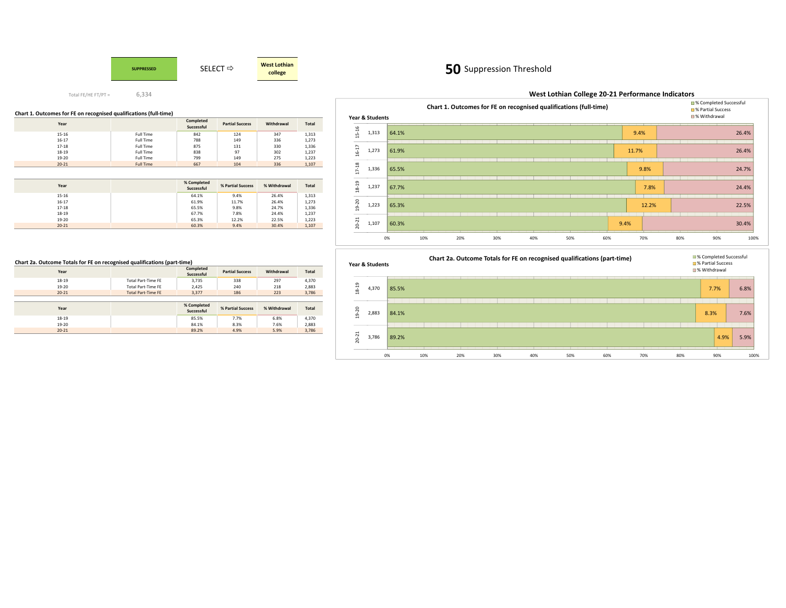

#### **Chart 1. Outcomes for FE on recognised qualifications (full-time)**

| Year      |                  | Completed<br>Successful | <b>Partial Success</b> | Withdrawal | Total |
|-----------|------------------|-------------------------|------------------------|------------|-------|
| $15 - 16$ | Full Time        | 842                     | 124                    | 347        | 1,313 |
| $16 - 17$ | Full Time        | 788                     | 149                    | 336        | 1,273 |
| $17 - 18$ | Full Time        | 875                     | 131                    | 330        | 1,336 |
| 18-19     | Full Time        | 838                     | 97                     | 302        | 1,237 |
| 19-20     | Full Time        | 799                     | 149                    | 275        | 1,223 |
| $20 - 21$ | <b>Full Time</b> | 667                     | 104                    | 336        | 1,107 |

| Year      | % Completed<br>Successful | % Partial Success | % Withdrawal | <b>Total</b> |
|-----------|---------------------------|-------------------|--------------|--------------|
| $15 - 16$ | 64.1%                     | 9.4%              | 26.4%        | 1,313        |
| $16 - 17$ | 61.9%                     | 11.7%             | 26.4%        | 1,273        |
| $17 - 18$ | 65.5%                     | 9.8%              | 24.7%        | 1,336        |
| $18 - 19$ | 67.7%                     | 7.8%              | 24.4%        | 1,237        |
| $19 - 20$ | 65.3%                     | 12.2%             | 22.5%        | 1,223        |
| $20 - 21$ | 60.3%                     | 9.4%              | 30.4%        | 1,107        |

#### **Chart 2a. Outcome Totals for FE on recognised qualifications (part-time)**

| Year      |                           | Completed<br>Successful   | <b>Partial Success</b> | Withdrawal   | <b>Total</b> |
|-----------|---------------------------|---------------------------|------------------------|--------------|--------------|
| 18-19     | <b>Total Part-Time FE</b> | 3.735                     | 338                    | 297          | 4,370        |
| 19-20     | <b>Total Part-Time FE</b> | 2,425                     | 240                    | 218          | 2,883        |
| $20 - 21$ | <b>Total Part-Time FE</b> | 3.377                     | 186                    | 223          | 3,786        |
|           |                           |                           |                        |              |              |
|           |                           |                           |                        |              |              |
| Year      |                           | % Completed<br>Successful | % Partial Success      | % Withdrawal | <b>Total</b> |
| $18 - 19$ |                           | 85.5%                     | 7.7%                   | 6.8%         | 4,370        |
| $19 - 20$ |                           | 84.1%                     | 8.3%                   | 7.6%         | 2,883        |

# **50** Suppression Threshold

|           |                 |       |     |     | Chart 1. Outcomes for FE on recognised qualifications (full-time) |     |     |     |       |     | <b>■% Completed Successful</b><br><b>■ % Partial Success</b> |       |
|-----------|-----------------|-------|-----|-----|-------------------------------------------------------------------|-----|-----|-----|-------|-----|--------------------------------------------------------------|-------|
|           | Year & Students |       |     |     |                                                                   |     |     |     |       |     | ■% Withdrawal                                                |       |
| 15-16     | 1,313           | 64.1% |     |     |                                                                   |     |     |     | 9.4%  |     |                                                              | 26.4% |
| $16 - 17$ | 1,273           | 61.9% |     |     |                                                                   |     |     |     | 11.7% |     |                                                              | 26.4% |
| $17 - 18$ | 1,336           | 65.5% |     |     |                                                                   |     |     |     | 9.8%  |     |                                                              | 24.7% |
| 18-19     | 1,237           | 67.7% |     |     |                                                                   |     |     |     | 7.8%  |     |                                                              | 24.4% |
| $19 - 20$ | 1,223           | 65.3% |     |     |                                                                   |     |     |     | 12.2% |     |                                                              | 22.5% |
| $20 - 21$ | 1,107           | 60.3% |     |     |                                                                   |     |     |     | 9.4%  |     |                                                              | 30.4% |
|           |                 | 0%    | 10% | 20% | 30%                                                               | 40% | 50% | 60% | 70%   | 80% | 90%                                                          | 100%  |

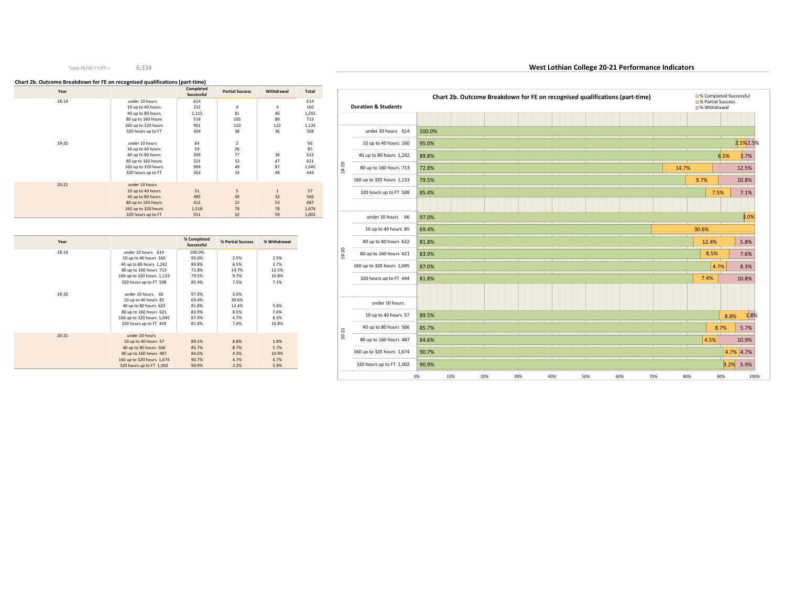#### **Chart 2b. Outcome Breakdown for FE on recognised qualifications (part-time)**

| Year      |                     | Completed<br>Successful | <b>Partial Success</b> | Withdrawal   | <b>Total</b> |
|-----------|---------------------|-------------------------|------------------------|--------------|--------------|
| $18 - 19$ | under 10 hours      | 614                     |                        |              | 614          |
|           | 10 up to 40 hours   | 152                     | 4                      | 4            | 160          |
|           | 40 up to 80 hours   | 1,115                   | 81                     | 46           | 1,242        |
|           | 80 up to 160 hours  | 519                     | 105                    | 89           | 713          |
|           | 160 up to 320 hours | 901                     | 110                    | 122          | 1,133        |
|           | 320 hours up to FT  | 434                     | 38                     | 36           | 508          |
| $19 - 20$ | under 10 hours      | 64                      | 2                      |              | 66           |
|           | 10 up to 40 hours   | 59                      | 26                     |              | 85           |
|           | 40 up to 80 hours   | 509                     | 77                     | 36           | 622          |
|           | 80 up to 160 hours  | 521                     | 53                     | 47           | 621          |
|           | 160 up to 320 hours | 909                     | 49                     | 87           | 1,045        |
|           | 320 hours up to FT  | 363                     | 33                     | 48           | 444          |
| $20 - 21$ | under 10 hours      |                         |                        |              |              |
|           | 10 up to 40 hours   | 51                      | 5                      | $\mathbf{1}$ | 57           |
|           | 40 up to 80 hours   | 485                     | 49                     | 32           | 566          |
|           | 80 up to 160 hours  | 412                     | 22                     | 53           | 487          |
|           | 160 up to 320 hours | 1,518                   | 78                     | 78           | 1,674        |
|           | 320 hours up to FT  | 911                     | 32                     | 59           | 1,002        |

| Year      |                           | % Completed<br>Successful | % Partial Success | % Withdrawal |
|-----------|---------------------------|---------------------------|-------------------|--------------|
| $18 - 19$ | under 10 hours 614        | 100.0%                    |                   |              |
|           | 10 up to 40 hours 160     | 95.0%                     | 2.5%              | 2.5%         |
|           | 40 up to 80 hours 1,242   | 89.8%                     | 6.5%              | 3.7%         |
|           | 80 up to 160 hours 713    | 72.8%                     | 14.7%             | 12.5%        |
|           | 160 up to 320 hours 1,133 | 79.5%                     | 9.7%              | 10.8%        |
|           | 320 hours up to FT 508    | 85.4%                     | 7.5%              | 7.1%         |
|           |                           |                           |                   |              |
| $19 - 20$ | under 10 hours 66         | 97.0%                     | 3.0%              |              |
|           | 10 up to 40 hours 85      | 69.4%                     | 30.6%             |              |
|           | 40 up to 80 hours 622     | 81.8%                     | 12.4%             | 5.8%         |
|           | 80 up to 160 hours 621    | 83.9%                     | 8.5%              | 7.6%         |
|           | 160 up to 320 hours 1,045 | 87.0%                     | 4.7%              | 8.3%         |
|           | 320 hours up to FT 444    | 81.8%                     | 7.4%              | 10.8%        |
|           |                           |                           |                   |              |
| $20 - 21$ | under 10 hours            |                           |                   |              |
|           | 10 up to 40 hours 57      | 89.5%                     | 8.8%              | 1.8%         |
|           | 40 up to 80 hours 566     | 85.7%                     | 8.7%              | 5.7%         |
|           | 80 up to 160 hours 487    | 84.6%                     | 4.5%              | 10.9%        |
|           | 160 up to 320 hours 1,674 | 90.7%                     | 4.7%              | 4.7%         |
|           | 320 hours up to FT 1.002  | 90.9%                     | 3.2%              | 5.9%         |

|           | <b>Duration &amp; Students</b> |        |     | Chart 2b. Outcome Breakdown for FE on recognised qualifications (part-time) |     |     |     |     |     |       |       | <b>■% Partial Success</b><br>■% Withdrawal | ■% Completed Successful |
|-----------|--------------------------------|--------|-----|-----------------------------------------------------------------------------|-----|-----|-----|-----|-----|-------|-------|--------------------------------------------|-------------------------|
|           |                                |        |     |                                                                             |     |     |     |     |     |       |       |                                            |                         |
|           | under 10 hours 614             | 100.0% |     |                                                                             |     |     |     |     |     |       |       |                                            |                         |
|           | 10 up to 40 hours 160          | 95.0%  |     |                                                                             |     |     |     |     |     |       |       |                                            | 2.5%2.5%                |
|           | 40 up to 80 hours 1,242        | 89.8%  |     |                                                                             |     |     |     |     |     |       |       | 6.5%                                       | 3.7%                    |
| 18-19     | 80 up to 160 hours 713         | 72.8%  |     |                                                                             |     |     |     |     |     | 14.7% |       |                                            | 12.5%                   |
|           | 160 up to 320 hours 1,133      | 79.5%  |     |                                                                             |     |     |     |     |     |       | 9.7%  |                                            | 10.8%                   |
|           | 320 hours up to FT 508         | 85.4%  |     |                                                                             |     |     |     |     |     |       |       | 7.5%                                       | 7.1%                    |
|           |                                |        |     |                                                                             |     |     |     |     |     |       |       |                                            |                         |
|           | under 10 hours 66              | 97.0%  |     |                                                                             |     |     |     |     |     |       |       |                                            | 3.0%                    |
|           | 10 up to 40 hours 85           | 69.4%  |     |                                                                             |     |     |     |     |     |       | 30.6% |                                            |                         |
|           | 40 up to 80 hours 622          | 81.8%  |     |                                                                             |     |     |     |     |     |       |       | 12.4%                                      | 5.8%                    |
| $19 - 20$ | 80 up to 160 hours 621         | 83.9%  |     |                                                                             |     |     |     |     |     |       |       | 8.5%                                       | 7.6%                    |
|           | 160 up to 320 hours 1,045      | 87.0%  |     |                                                                             |     |     |     |     |     |       |       | 4.7%                                       | 8.3%                    |
|           | 320 hours up to FT 444         | 81.8%  |     |                                                                             |     |     |     |     |     |       | 7.4%  |                                            | 10.8%                   |
|           |                                |        |     |                                                                             |     |     |     |     |     |       |       |                                            |                         |
|           | under 10 hours                 |        |     |                                                                             |     |     |     |     |     |       |       |                                            |                         |
|           | 10 up to 40 hours 57           | 89.5%  |     |                                                                             |     |     |     |     |     |       |       |                                            | 1.8%<br>8.8%            |
|           | 40 up to 80 hours 566          | 85.7%  |     |                                                                             |     |     |     |     |     |       |       | 8.7%                                       | 5.7%                    |
| $20 - 21$ | 80 up to 160 hours 487         | 84.6%  |     |                                                                             |     |     |     |     |     |       |       | 4.5%                                       | 10.9%                   |
|           | 160 up to 320 hours 1,674      | 90.7%  |     |                                                                             |     |     |     |     |     |       |       |                                            | 4.7% 4.7%               |
|           | 320 hours up to FT 1,002       | 90.9%  |     |                                                                             |     |     |     |     |     |       |       |                                            | 3.2%<br>5.9%            |
|           |                                | 0%     | 10% | 20%                                                                         | 30% | 40% | 50% | 60% | 70% | 80%   |       | 90%                                        | 100%                    |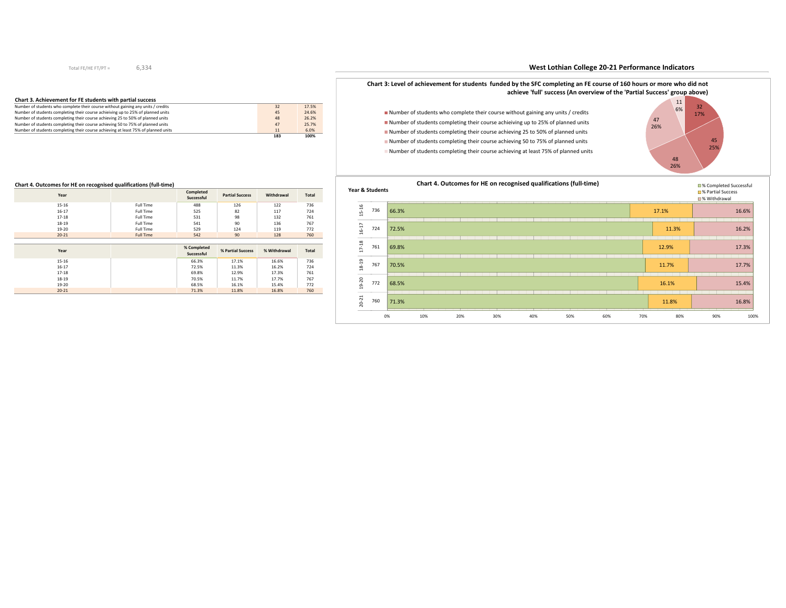| Chart 3. Achievement for FE students with partial success                          |     |       |
|------------------------------------------------------------------------------------|-----|-------|
| Number of students who complete their course without gaining any units / credits   | 32  | 17.5% |
| Number of students completing their course achieiving up to 25% of planned units   | 45  | 24.6% |
| Number of students completing their course achieving 25 to 50% of planned units    | 48  | 26.2% |
| Number of students completing their course achieving 50 to 75% of planned units    | 47  | 25.7% |
| Number of students completing their course achieving at least 75% of planned units | 11  | 6.0%  |
|                                                                                    | 183 | 100%  |

## **West Lothian College 20-21 Performance Indicators**



■ Number of students who complete their course without gaining any units / credits Number of students completing their course achieiving up to 25% of planned units Number of students completing their course achieving 25 to 50% of planned units Number of students completing their course achieving 50 to 75% of planned unitsNumber of students completing their course achieving at least 75% of planned units





#### **Chart 4. Outcomes for HE on recognised qualifications (full-time)**

| Year      |                  | Completed<br>Successful | <b>Partial Success</b> | Withdrawal | <b>Total</b> |
|-----------|------------------|-------------------------|------------------------|------------|--------------|
| $15 - 16$ | Full Time        | 488                     | 126                    | 122        | 736          |
| $16 - 17$ | Full Time        | 525                     | 82                     | 117        | 724          |
| $17 - 18$ | Full Time        | 531                     | 98                     | 132        | 761          |
| 18-19     | Full Time        | 541                     | 90                     | 136        | 767          |
| 19-20     | Full Time        | 529                     | 124                    | 119        | 772          |
| $20 - 21$ | <b>Full Time</b> | 542                     | 90                     | 128        | 760          |
|           |                  |                         |                        |            |              |
|           |                  | $0$ $C = 1$             |                        |            |              |

| Year      | % Completed<br>Successful | % Partial Success | % Withdrawal | <b>Total</b> |
|-----------|---------------------------|-------------------|--------------|--------------|
| $15 - 16$ | 66.3%                     | 17.1%             | 16.6%        | 736          |
| $16 - 17$ | 72.5%                     | 11.3%             | 16.2%        | 724          |
| $17 - 18$ | 69.8%                     | 12.9%             | 17.3%        | 761          |
| $18 - 19$ | 70.5%                     | 11.7%             | 17.7%        | 767          |
| $19 - 20$ | 68.5%                     | 16.1%             | 15.4%        | 772          |
| $20 - 21$ | 71.3%                     | 11.8%             | 16.8%        | 760          |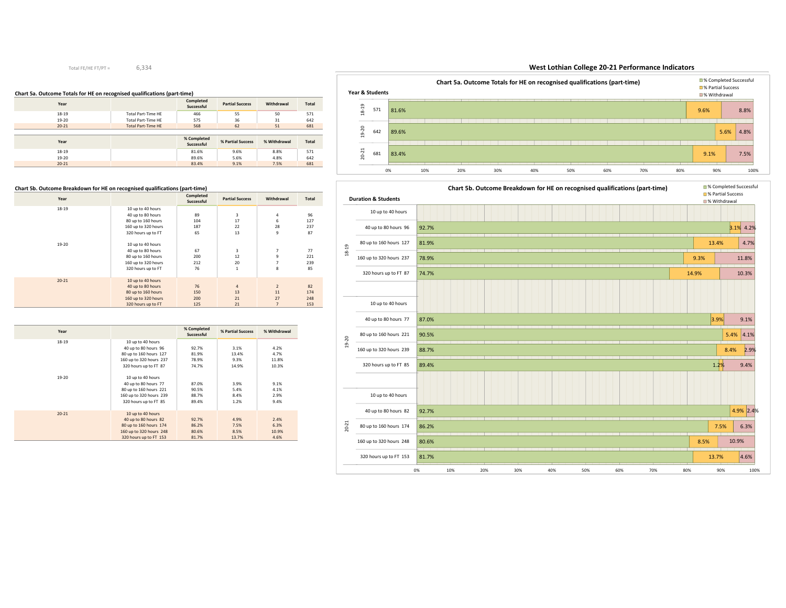#### **Chart 5a. Outcome Totals for HE on recognised qualifications (part-time)**

| Year      |                           | Completed<br>Successful   | <b>Partial Success</b> | Withdrawal   | <b>Total</b> |
|-----------|---------------------------|---------------------------|------------------------|--------------|--------------|
| $18 - 19$ | <b>Total Part-Time HE</b> | 466                       | 55                     | 50           | 571          |
| 19-20     | <b>Total Part-Time HE</b> | 575                       | 36                     | 31           | 642          |
| $20 - 21$ | <b>Total Part-Time HE</b> | 568                       | 62                     | 51           | 681          |
|           |                           |                           |                        |              |              |
|           |                           |                           |                        |              |              |
| Year      |                           | % Completed<br>Successful | % Partial Success      | % Withdrawal | <b>Total</b> |
| 18-19     |                           | 81.6%                     | 9.6%                   | 8.8%         | 571          |
| $19 - 20$ |                           | 89.6%                     | 5.6%                   | 4.8%         | 642          |

#### **Chart 5b. Outcome Breakdown for HE on recognised qualifications (part-time)**

| Year      |                     | Completed<br>Successful | <b>Partial Success</b> | Withdrawal     | <b>Total</b> |
|-----------|---------------------|-------------------------|------------------------|----------------|--------------|
| 18-19     | 10 up to 40 hours   |                         |                        |                |              |
|           | 40 up to 80 hours   | 89                      | 3                      | 4              | 96           |
|           | 80 up to 160 hours  | 104                     | 17                     | 6              | 127          |
|           | 160 up to 320 hours | 187                     | 22                     | 28             | 237          |
|           | 320 hours up to FT  | 65                      | 13                     | 9              | 87           |
| 19-20     | 10 up to 40 hours   |                         |                        |                |              |
|           | 40 up to 80 hours   | 67                      | 3                      | $\overline{7}$ | 77           |
|           | 80 up to 160 hours  | 200                     | 12                     | 9              | 221          |
|           | 160 up to 320 hours | 212                     | 20                     | 7              | 239          |
|           | 320 hours up to FT  | 76                      | $\mathbf{1}$           | 8              | 85           |
| $20 - 21$ | 10 up to 40 hours   |                         |                        |                |              |
|           | 40 up to 80 hours   | 76                      | $\overline{a}$         | $\overline{2}$ | 82           |
|           | 80 up to 160 hours  | 150                     | 13                     | 11             | 174          |
|           | 160 up to 320 hours | 200                     | 21                     | 27             | 248          |
|           | 320 hours up to FT  | 125                     | 21                     | $\overline{7}$ | 153          |

| Year      |                         | % Completed<br>Successful | % Partial Success | % Withdrawal |
|-----------|-------------------------|---------------------------|-------------------|--------------|
| $18 - 19$ | 10 up to 40 hours       |                           |                   |              |
|           | 40 up to 80 hours 96    | 92.7%                     | 3.1%              | 4.2%         |
|           | 80 up to 160 hours 127  | 81.9%                     | 13.4%             | 4.7%         |
|           | 160 up to 320 hours 237 | 78.9%                     | 9.3%              | 11.8%        |
|           | 320 hours up to FT 87   | 74.7%                     | 14.9%             | 10.3%        |
| 19-20     | 10 up to 40 hours       |                           |                   |              |
|           | 40 up to 80 hours 77    | 87.0%                     | 3.9%              | 9.1%         |
|           | 80 up to 160 hours 221  | 90.5%                     | 5.4%              | 4.1%         |
|           | 160 up to 320 hours 239 | 88.7%                     | 8.4%              | 2.9%         |
|           | 320 hours up to FT 85   | 89.4%                     | 1.2%              | 9.4%         |
|           |                         |                           |                   |              |
| $20 - 21$ | 10 up to 40 hours       |                           |                   |              |
|           | 40 up to 80 hours 82    | 92.7%                     | 4.9%              | 2.4%         |
|           | 80 up to 160 hours 174  | 86.2%                     | 7.5%              | 6.3%         |
|           | 160 up to 320 hours 248 | 80.6%                     | 8.5%              | 10.9%        |
|           | 320 hours up to FT 153  | 81.7%                     | 13.7%             | 4.6%         |

#### 81.6%89.6%83.4%9.6% $5.6\%$  4.8% 9.1%8.8%7.5%0% 10% 20% 30% 40% 50% 60% 70% 80% 90% 100% 571 642 68118-19 19-20 20-21 **Chart 5a. Outcome Totals for HE on recognised qualifications (part-time)**■% Completed Successful<br>■ % Partial Success % Withdrawal**Year & Students**

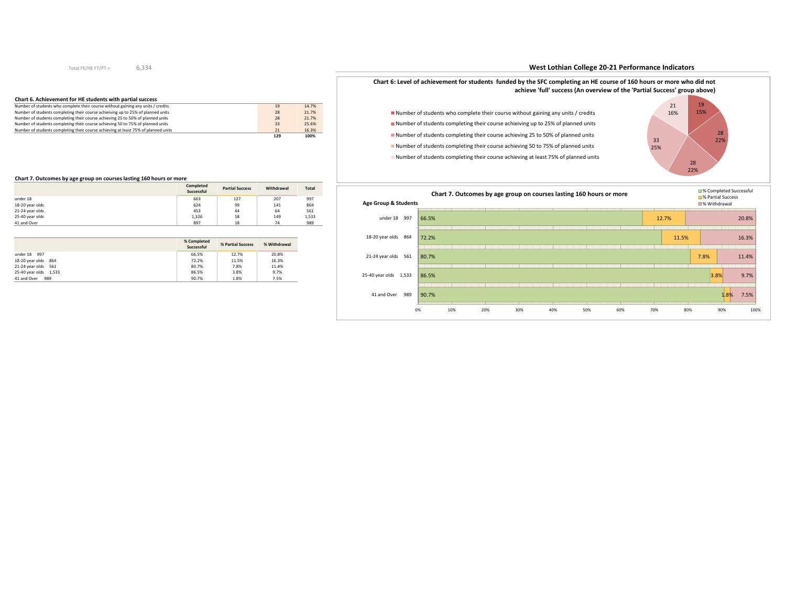## 6,334

#### **Chart 6. Achievement for HE students with partial success**

|                                                                                    | 129 | 100%  |
|------------------------------------------------------------------------------------|-----|-------|
| Number of students completing their course achieving at least 75% of planned units | 21  | 16.3% |
| Number of students completing their course achieving 50 to 75% of planned units    | 33  | 25.6% |
| Number of students completing their course achieving 25 to 50% of planned units    | 28  | 21.7% |
| Number of students completing their course achieiving up to 25% of planned units   | 28  | 21.7% |
| Number of students who complete their course without gaining any units / credits   | 19  | 14.7% |

#### **Chart 7. Outcomes by age group on courses lasting 160 hours or more**

|                 | Completed<br>Successful | <b>Partial Success</b> | Withdrawal | <b>Total</b> |
|-----------------|-------------------------|------------------------|------------|--------------|
| under 18        | 663                     | 127                    | 207        | 997          |
| 18-20 year olds | 624                     | 99                     | 141        | 864          |
| 21-24 year olds | 453                     | 44                     | 64         | 561          |
| 25-40 year olds | 1,326                   | 58                     | 149        | 1,533        |
| 41 and Over     | 897                     | 18                     | 74         | 989          |

|                       | % Completed<br>Successful | % Partial Success |       |
|-----------------------|---------------------------|-------------------|-------|
| under 18 997          | 66.5%                     | 12.7%             | 20.8% |
| 18-20 year olds 864   | 72.2%                     | 11.5%             | 16.3% |
| 21-24 year olds 561   | 80.7%                     | 7.8%              | 11.4% |
| 25-40 year olds 1,533 | 86.5%                     | 3.8%              | 9.7%  |
| 41 and Over<br>989    | 90.7%                     | 1.8%              | 7.5%  |

## **West Lothian College 20-21 Performance Indicators**



Number of students completing their course achieving at least 75% of planned units



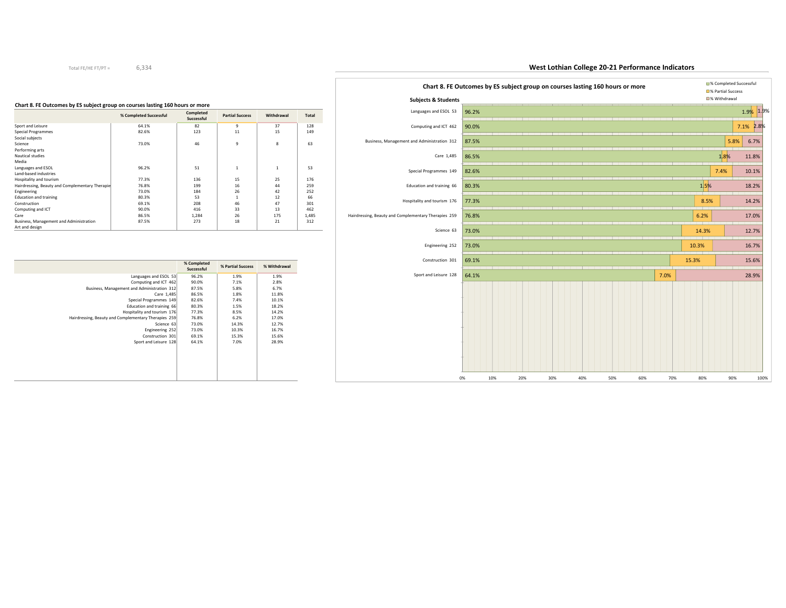## **West Lothian College 20-21 Performance Indicators**



#### **Chart 8. FE Outcomes by ES subject group on courses lasting 160 hours or more**

|                                                 | % Completed Successful | Completed<br>Successful | <b>Partial Success</b> | Withdrawal   | <b>Total</b> |
|-------------------------------------------------|------------------------|-------------------------|------------------------|--------------|--------------|
| Sport and Leisure                               | 64.1%                  | 82                      | 9                      | 37           | 128          |
| Special Programmes                              | 82.6%                  | 123                     | 11                     | 15           | 149          |
| Social subjects                                 |                        |                         |                        |              |              |
| Science                                         | 73.0%                  | 46                      | 9                      | 8            | 63           |
| Performing arts                                 |                        |                         |                        |              |              |
| Nautical studies                                |                        |                         |                        |              |              |
| Media                                           |                        |                         |                        |              |              |
| Languages and ESOL                              | 96.2%                  | 51                      | 1                      | $\mathbf{1}$ | 53           |
| Land-based industries                           |                        |                         |                        |              |              |
| Hospitality and tourism                         | 77.3%                  | 136                     | 15                     | 25           | 176          |
| Hairdressing, Beauty and Complementary Therapie | 76.8%                  | 199                     | 16                     | 44           | 259          |
| Engineering                                     | 73.0%                  | 184                     | 26                     | 42           | 252          |
| <b>Education and training</b>                   | 80.3%                  | 53                      |                        | 12           | 66           |
| Construction                                    | 69.1%                  | 208                     | 46                     | 47           | 301          |
| Computing and ICT                               | 90.0%                  | 416                     | 33                     | 13           | 462          |
| Care                                            | 86.5%                  | 1,284                   | 26                     | 175          | 1,485        |
| Business, Management and Administration         | 87.5%                  | 273                     | 18                     | 21           | 312          |
| Art and design                                  |                        |                         |                        |              |              |

|                                                      | % Completed<br>Successful | % Partial Success | % Withdrawal |
|------------------------------------------------------|---------------------------|-------------------|--------------|
| Languages and ESOL 53                                | 96.2%                     | 1.9%              | 1.9%         |
| Computing and ICT 462                                | 90.0%                     | 7.1%              | 2.8%         |
| Business, Management and Administration 312          | 87.5%                     | 5.8%              | 6.7%         |
| Care 1,485                                           | 86.5%                     | 1.8%              | 11.8%        |
| Special Programmes 149                               | 82.6%                     | 7.4%              | 10.1%        |
| Education and training 66                            | 80.3%                     | 1.5%              | 18.2%        |
| Hospitality and tourism 176                          | 77.3%                     | 8.5%              | 14.2%        |
| Hairdressing, Beauty and Complementary Therapies 259 | 76.8%                     | 6.2%              | 17.0%        |
| Science 63                                           | 73.0%                     | 14.3%             | 12.7%        |
| Engineering 252                                      | 73.0%                     | 10.3%             | 16.7%        |
| Construction 301                                     | 69.1%                     | 15.3%             | 15.6%        |
| Sport and Leisure 128                                | 64.1%                     | 7.0%              | 28.9%        |
|                                                      |                           |                   |              |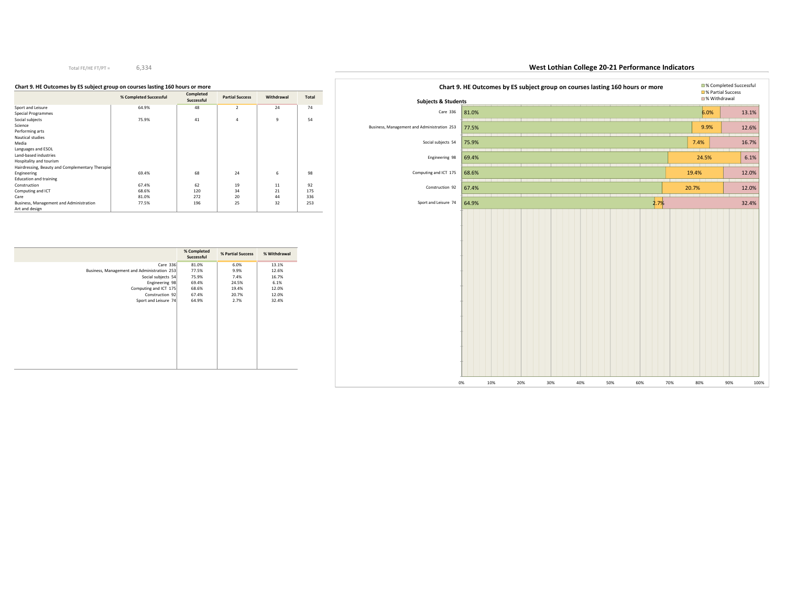#### **Chart 9. HE Outcomes by ES subject group on courses lasting 160 hours or more**

|                                                 | % Completed Successful | Completed<br>Successful | <b>Partial Success</b> | Withdrawal | Total |
|-------------------------------------------------|------------------------|-------------------------|------------------------|------------|-------|
| Sport and Leisure                               | 64.9%                  | 48                      | $\overline{2}$         | 24         | 74    |
| <b>Special Programmes</b>                       |                        |                         |                        |            |       |
| Social subjects                                 | 75.9%                  | 41                      | 4                      | 9          | 54    |
| Science                                         |                        |                         |                        |            |       |
| Performing arts                                 |                        |                         |                        |            |       |
| Nautical studies                                |                        |                         |                        |            |       |
| Media                                           |                        |                         |                        |            |       |
| Languages and ESOL                              |                        |                         |                        |            |       |
| Land-based industries                           |                        |                         |                        |            |       |
| Hospitality and tourism                         |                        |                         |                        |            |       |
| Hairdressing, Beauty and Complementary Therapie |                        |                         |                        |            |       |
| Engineering                                     | 69.4%                  | 68                      | 24                     | 6          | 98    |
| <b>Education and training</b>                   |                        |                         |                        |            |       |
| Construction                                    | 67.4%                  | 62                      | 19                     | 11         | 92    |
| Computing and ICT                               | 68.6%                  | 120                     | 34                     | 21         | 175   |
| Care                                            | 81.0%                  | 272                     | 20                     | 44         | 336   |
| Business, Management and Administration         | 77.5%                  | 196                     | 25                     | 32         | 253   |
| Art and design                                  |                        |                         |                        |            |       |

|                                             | % Completed<br>Successful | % Partial Success | % Withdrawal |
|---------------------------------------------|---------------------------|-------------------|--------------|
| Care 336                                    | 81.0%                     | 6.0%              | 13.1%        |
| Business, Management and Administration 253 | 77.5%                     | 9.9%              | 12.6%        |
| Social subjects 54                          | 75.9%                     | 7.4%              | 16.7%        |
| Engineering 98                              | 69.4%                     | 24.5%             | 6.1%         |
| Computing and ICT 175                       | 68.6%                     | 19.4%             | 12.0%        |
| Construction 92                             | 67.4%                     | 20.7%             | 12.0%        |
| Sport and Leisure 74                        | 64.9%                     | 2.7%              | 32.4%        |
|                                             |                           |                   |              |

## Care 336 81.0% Business, Management and Administration 253 77.5% 75.9%69.4%Computing and ICT  $175$  68.6% 67.4%64.9%6.0%9.9%7.4%24.5%19.4%20.7%2.7%13.1%12.6%16.7%6.1%12.0%12.0%32.4%0% 10% 20% 30% 40% 50% 60% 70% 80% 90% 100%Social subjects 54Engineering 98Construction 92Sport and Leisure 74**Chart 9. HE Outcomes by ES subject group on courses lasting 160 hours or more and Successful and Successful Chartial Success** % Withdrawal**Subjects & Students**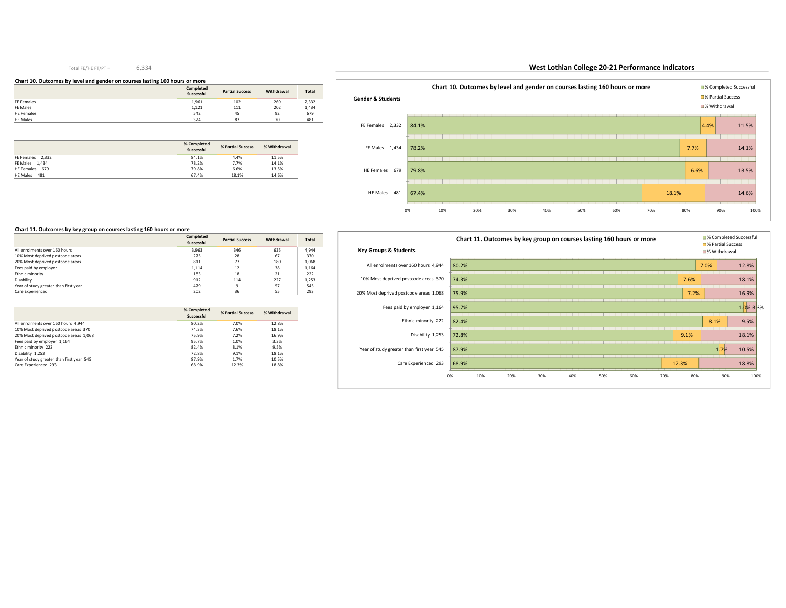#### **Chart 10. Outcomes by level and gender on courses lasting 160 hours or more**

|                   | Completed<br>Successful | <b>Partial Success</b> | Withdrawal | <b>Total</b> |
|-------------------|-------------------------|------------------------|------------|--------------|
| FE Females        | 1,961                   | 102                    | 269        | 2,332        |
| FE Males          | 1,121                   | 111                    | 202        | 1,434        |
| <b>HE Females</b> | 542                     | 45                     | 92         | 679          |
| <b>HE Males</b>   | 324                     | 87                     | 70         | 481          |

|                        | % Completed<br>% Partial Success<br>Successful |       | % Withdrawal |
|------------------------|------------------------------------------------|-------|--------------|
| FE Females 2.332       | 84.1%                                          | 4.4%  | 11.5%        |
| FE Males 1.434         | 78.2%                                          | 7.7%  | 14.1%        |
| HE Females 679         | 79.8%                                          | 6.6%  | 13.5%        |
| <b>HE Males</b><br>481 | 67.4%                                          | 18.1% | 14.6%        |



## **West Lothian College 20-21 Performance Indicators**



#### **Chart 11. Outcomes by key group on courses lasting 160 hours or more**

|                                       | Completed<br>Successful | <b>Partial Success</b> | Withdrawal | <b>Total</b> |
|---------------------------------------|-------------------------|------------------------|------------|--------------|
| All enrolments over 160 hours         | 3.963                   | 346                    | 635        | 4.944        |
| 10% Most deprived postcode areas      | 275                     | 28                     | 67         | 370          |
| 20% Most deprived postcode areas      | 811                     | 77                     | 180        | 1,068        |
| Fees paid by employer                 | 1.114                   | 12                     | 38         | 1.164        |
| Ethnic minority                       | 183                     | 18                     | 21         | 222          |
| Disability                            | 912                     | 114                    | 227        | 1.253        |
| Year of study greater than first year | 479                     | ٩                      | 57         | 545          |
| Care Experienced                      | 202                     | 36                     | 55         | 293          |

|                                           | % Completed<br>Successful | % Partial Success | % Withdrawal |
|-------------------------------------------|---------------------------|-------------------|--------------|
| All enrolments over 160 hours 4.944       | 80.2%                     | 7.0%              | 12.8%        |
| 10% Most deprived postcode areas 370      | 74.3%                     | 7.6%              | 18.1%        |
| 20% Most deprived postcode areas 1,068    | 75.9%                     | 7.2%              | 16.9%        |
| Fees paid by employer 1,164               | 95.7%                     | 1.0%              | 3.3%         |
| Ethnic minority 222                       | 82.4%                     | 8.1%              | 9.5%         |
| Disability 1.253                          | 72.8%                     | 9.1%              | 18.1%        |
| Year of study greater than first year 545 | 87.9%                     | 1.7%              | 10.5%        |
| Care Experienced 293                      | 68.9%                     | 12.3%             | 18.8%        |